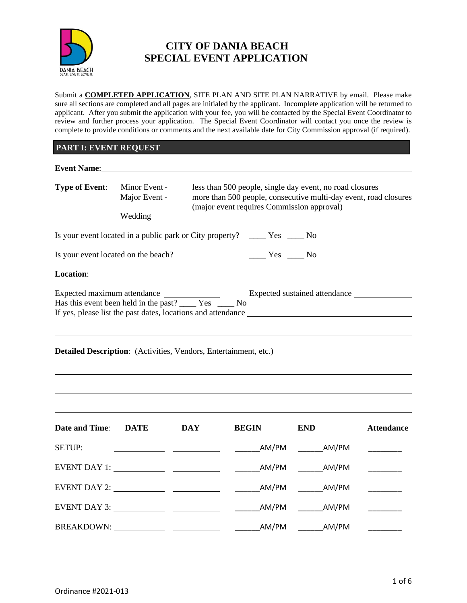

# **CITY OF DANIA BEACH SPECIAL EVENT APPLICATION**

Submit a **COMPLETED APPLICATION**, SITE PLAN AND SITE PLAN NARRATIVE by email. Please make sure all sections are completed and all pages are initialed by the applicant. Incomplete application will be returned to applicant. After you submit the application with your fee, you will be contacted by the Special Event Coordinator to review and further process your application. The Special Event Coordinator will contact you once the review is complete to provide conditions or comments and the next available date for City Commission approval (if required).

# **PART I: EVENT REQUEST**

| Event Name: 1988                                                    |                                           |            |                                                                                                                                                                                                                                                                                                                                                     |                                                                                                                                                                            |                   |
|---------------------------------------------------------------------|-------------------------------------------|------------|-----------------------------------------------------------------------------------------------------------------------------------------------------------------------------------------------------------------------------------------------------------------------------------------------------------------------------------------------------|----------------------------------------------------------------------------------------------------------------------------------------------------------------------------|-------------------|
| <b>Type of Event:</b>                                               | Minor Event -<br>Major Event -<br>Wedding |            |                                                                                                                                                                                                                                                                                                                                                     | less than 500 people, single day event, no road closures<br>more than 500 people, consecutive multi-day event, road closures<br>(major event requires Commission approval) |                   |
|                                                                     |                                           |            |                                                                                                                                                                                                                                                                                                                                                     |                                                                                                                                                                            |                   |
| Is your event located on the beach?                                 |                                           |            | $\frac{1}{1}$ Yes $\frac{1}{1}$ No                                                                                                                                                                                                                                                                                                                  |                                                                                                                                                                            |                   |
| Location: <u>contraction</u>                                        |                                           |            |                                                                                                                                                                                                                                                                                                                                                     |                                                                                                                                                                            |                   |
| Has this event been held in the past? ______ Yes ______ No          |                                           |            |                                                                                                                                                                                                                                                                                                                                                     |                                                                                                                                                                            |                   |
| Detailed Description: (Activities, Vendors, Entertainment, etc.)    |                                           |            |                                                                                                                                                                                                                                                                                                                                                     |                                                                                                                                                                            |                   |
| <b>Date and Time:</b>                                               | <b>DATE</b>                               | <b>DAY</b> | <b>BEGIN</b>                                                                                                                                                                                                                                                                                                                                        | <b>END</b>                                                                                                                                                                 | <b>Attendance</b> |
| <b>SETUP:</b>                                                       |                                           |            | $\begin{array}{c}\n\text{AM/PM}\n\end{array}$                                                                                                                                                                                                                                                                                                       |                                                                                                                                                                            |                   |
|                                                                     |                                           |            |                                                                                                                                                                                                                                                                                                                                                     | AM/PM                                                                                                                                                                      |                   |
|                                                                     |                                           |            |                                                                                                                                                                                                                                                                                                                                                     | AM/PM                                                                                                                                                                      |                   |
| EVENT DAY 3: $\_\_\_\_\_\_\_\_\_\_\_\_\_\_\_\_\_\_\_\_\_\_\_\_\_\_$ |                                           |            | $\begin{picture}(180,10) \put(0,0){\line(1,0){10}} \put(15,0){\line(1,0){10}} \put(15,0){\line(1,0){10}} \put(15,0){\line(1,0){10}} \put(15,0){\line(1,0){10}} \put(15,0){\line(1,0){10}} \put(15,0){\line(1,0){10}} \put(15,0){\line(1,0){10}} \put(15,0){\line(1,0){10}} \put(15,0){\line(1,0){10}} \put(15,0){\line(1,0){10}} \put(15,0){\line($ | AM/PM                                                                                                                                                                      |                   |
|                                                                     |                                           |            | $\begin{array}{c}\n\text{AM/PM}\n\end{array}$                                                                                                                                                                                                                                                                                                       | AM/PM                                                                                                                                                                      |                   |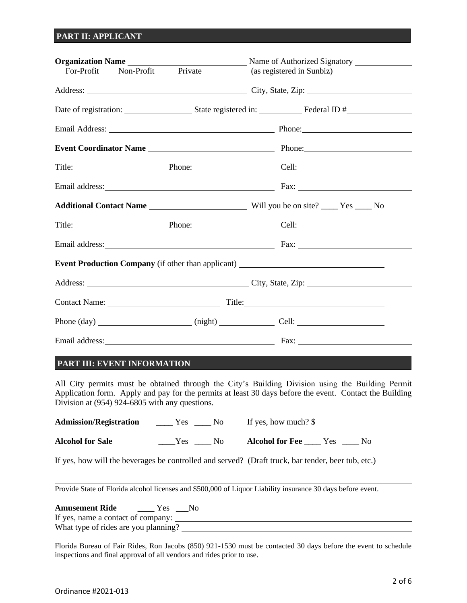# **PART II: APPLICANT**

| For-Profit                | Non-Profit Private<br>(as registered in Sunbiz)                |                                                                                   |  |  |  |
|---------------------------|----------------------------------------------------------------|-----------------------------------------------------------------------------------|--|--|--|
|                           |                                                                |                                                                                   |  |  |  |
|                           |                                                                |                                                                                   |  |  |  |
|                           |                                                                |                                                                                   |  |  |  |
|                           | Event Coordinator Name Manual Phone: Phone: Phone: Phone: 2014 |                                                                                   |  |  |  |
| Title: Phone: Cell: Cell: |                                                                |                                                                                   |  |  |  |
|                           |                                                                |                                                                                   |  |  |  |
|                           |                                                                |                                                                                   |  |  |  |
|                           |                                                                |                                                                                   |  |  |  |
|                           |                                                                |                                                                                   |  |  |  |
|                           |                                                                | Event Production Company (if other than applicant) ______________________________ |  |  |  |
|                           |                                                                |                                                                                   |  |  |  |
|                           |                                                                |                                                                                   |  |  |  |
|                           |                                                                |                                                                                   |  |  |  |
|                           |                                                                |                                                                                   |  |  |  |

# **PART III: EVENT INFORMATION**

All City permits must be obtained through the City's Building Division using the Building Permit Application form. Apply and pay for the permits at least 30 days before the event. Contact the Building Division at (954) 924-6805 with any questions.

| <b>Admission/Registration</b> | No.<br>Yes   | If yes, how much? $\$             |
|-------------------------------|--------------|-----------------------------------|
| <b>Alcohol for Sale</b>       | - No<br>Yes. | <b>Alcohol for Fee</b> Yes<br>No. |

If yes, how will the beverages be controlled and served? (Draft truck, bar tender, beer tub, etc.)

Provide State of Florida alcohol licenses and \$500,000 of Liquor Liability insurance 30 days before event.

**Amusement Ride \_\_\_\_** Yes **\_\_\_**No If yes, name a contact of company: What type of rides are you planning?<br>
<u>
What type of rides are you planning?</u>

Florida Bureau of Fair Rides, Ron Jacobs (850) 921-1530 must be contacted 30 days before the event to schedule inspections and final approval of all vendors and rides prior to use.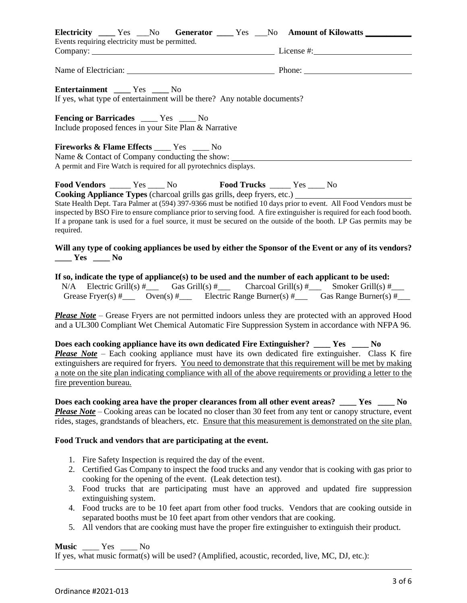| Electricity _____ Yes ____ No Generator _____ Yes ____ No Amount of Kilowatts _________                                                                                                                                                                                                                                                                                                                                                                                                                                                                         |  |
|-----------------------------------------------------------------------------------------------------------------------------------------------------------------------------------------------------------------------------------------------------------------------------------------------------------------------------------------------------------------------------------------------------------------------------------------------------------------------------------------------------------------------------------------------------------------|--|
| Events requiring electricity must be permitted.                                                                                                                                                                                                                                                                                                                                                                                                                                                                                                                 |  |
|                                                                                                                                                                                                                                                                                                                                                                                                                                                                                                                                                                 |  |
| Entertainment ______ Yes _____ No<br>If yes, what type of entertainment will be there? Any notable documents?                                                                                                                                                                                                                                                                                                                                                                                                                                                   |  |
| <b>Fencing or Barricades</b> ____ Yes ___ No<br>Include proposed fences in your Site Plan & Narrative                                                                                                                                                                                                                                                                                                                                                                                                                                                           |  |
| <b>Fireworks &amp; Flame Effects</b> ____ Yes ____ No<br>Name & Contact of Company conducting the show:<br>A permit and Fire Watch is required for all pyrotechnics displays.                                                                                                                                                                                                                                                                                                                                                                                   |  |
| Food Vendors _______ Yes _____ No<br>Food Trucks ______ Yes _____ No<br>Cooking Appliance Types (charcoal grills gas grills, deep fryers, etc.) ____________________________<br>State Health Dept. Tara Palmer at (594) 397-9366 must be notified 10 days prior to event. All Food Vendors must be<br>inspected by BSO Fire to ensure compliance prior to serving food. A fire extinguisher is required for each food booth.<br>If a propane tank is used for a fuel source, it must be secured on the outside of the booth. LP Gas permits may be<br>required. |  |
| Will any type of cooking appliances be used by either the Sponsor of the Event or any of its vendors?<br>$\frac{1}{\sqrt{1-\frac{1}{2}}}$ Yes $\frac{1}{\sqrt{1-\frac{1}{2}}}$ No                                                                                                                                                                                                                                                                                                                                                                               |  |
| If so, indicate the type of appliance(s) to be used and the number of each applicant to be used:<br>N/A Electric Grill(s) $\#$ Gas Grill(s) $\#$ Charcoal Grill(s) $\#$ Smoker Grill(s) $\#$<br>Grease Fryer(s) $\#$ Oven(s) $\#$ Electric Range Burner(s) $\#$ Gas Range Burner(s) $\#$                                                                                                                                                                                                                                                                        |  |
| <b>Please Note</b> – Grease Fryers are not permitted indoors unless they are protected with an approved Hood<br>and a UL300 Compliant Wet Chemical Automatic Fire Suppression System in accordance with NFPA 96.                                                                                                                                                                                                                                                                                                                                                |  |
| Does each cooking appliance have its own dedicated Fire Extinguisher? ____ Yes ____ No<br><b>Please Note</b> – Each cooking appliance must have its own dedicated fire extinguisher. Class K fire<br>extinguishers are required for fryers. You need to demonstrate that this requirement will be met by making<br>a note on the site plan indicating compliance with all of the above requirements or providing a letter to the                                                                                                                                |  |

**Does each cooking area have the proper clearances from all other event areas? \_\_\_\_ Yes \_\_\_\_ No** *Please Note* – Cooking areas can be located no closer than 30 feet from any tent or canopy structure, event rides, stages, grandstands of bleachers, etc. Ensure that this measurement is demonstrated on the site plan.

#### **Food Truck and vendors that are participating at the event.**

- 1. Fire Safety Inspection is required the day of the event.
- 2. Certified Gas Company to inspect the food trucks and any vendor that is cooking with gas prior to cooking for the opening of the event. (Leak detection test).
- 3. Food trucks that are participating must have an approved and updated fire suppression extinguishing system.
- 4. Food trucks are to be 10 feet apart from other food trucks. Vendors that are cooking outside in separated booths must be 10 feet apart from other vendors that are cooking.
- 5. All vendors that are cooking must have the proper fire extinguisher to extinguish their product.

# **Music** \_\_\_\_ Yes \_\_\_\_ No

If yes, what music format(s) will be used? (Amplified, acoustic, recorded, live, MC, DJ, etc.):

fire prevention bureau.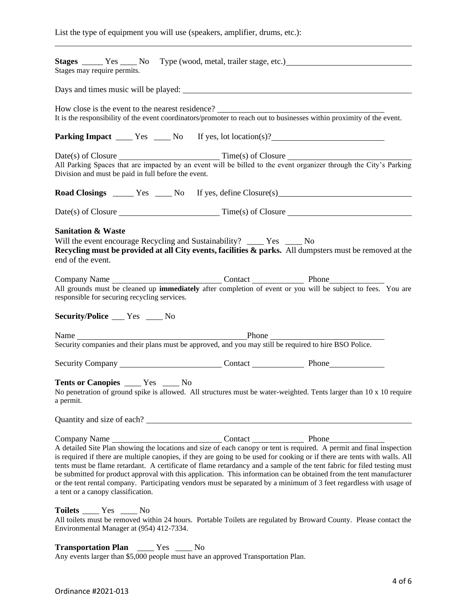|  |  | List the type of equipment you will use (speakers, amplifier, drums, etc.): |  |  |
|--|--|-----------------------------------------------------------------------------|--|--|
|  |  |                                                                             |  |  |

| Stages may require permits.                                                                                                                                                                                                                                                                                                                                                                                                                                                                                                                                                                                                                                                         |
|-------------------------------------------------------------------------------------------------------------------------------------------------------------------------------------------------------------------------------------------------------------------------------------------------------------------------------------------------------------------------------------------------------------------------------------------------------------------------------------------------------------------------------------------------------------------------------------------------------------------------------------------------------------------------------------|
|                                                                                                                                                                                                                                                                                                                                                                                                                                                                                                                                                                                                                                                                                     |
| How close is the event to the nearest residence?<br>It is the responsibility of the event coordinators/promoter to reach out to businesses within proximity of the event.                                                                                                                                                                                                                                                                                                                                                                                                                                                                                                           |
|                                                                                                                                                                                                                                                                                                                                                                                                                                                                                                                                                                                                                                                                                     |
| Division and must be paid in full before the event.                                                                                                                                                                                                                                                                                                                                                                                                                                                                                                                                                                                                                                 |
|                                                                                                                                                                                                                                                                                                                                                                                                                                                                                                                                                                                                                                                                                     |
|                                                                                                                                                                                                                                                                                                                                                                                                                                                                                                                                                                                                                                                                                     |
| <b>Sanitation &amp; Waste</b><br>Will the event encourage Recycling and Sustainability? _____ Yes ____ No<br>Recycling must be provided at all City events, facilities & parks. All dumpsters must be removed at the<br>end of the event.                                                                                                                                                                                                                                                                                                                                                                                                                                           |
| All grounds must be cleaned up <b>immediately</b> after completion of event or you will be subject to fees. You are<br>responsible for securing recycling services.<br><b>Security/Police</b> Fes __ No                                                                                                                                                                                                                                                                                                                                                                                                                                                                             |
|                                                                                                                                                                                                                                                                                                                                                                                                                                                                                                                                                                                                                                                                                     |
|                                                                                                                                                                                                                                                                                                                                                                                                                                                                                                                                                                                                                                                                                     |
| Tents or Canopies _______ Yes ______ No<br>No penetration of ground spike is allowed. All structures must be water-weighted. Tents larger than 10 x 10 require<br>a permit.                                                                                                                                                                                                                                                                                                                                                                                                                                                                                                         |
|                                                                                                                                                                                                                                                                                                                                                                                                                                                                                                                                                                                                                                                                                     |
| Company Name<br>A detailed Site Plan showing the locations and size of each canopy or tent is required. A permit and final inspection<br>is required if there are multiple canopies, if they are going to be used for cooking or if there are tents with walls. All<br>tents must be flame retardant. A certificate of flame retardancy and a sample of the tent fabric for filed testing must<br>be submitted for product approval with this application. This information can be obtained from the tent manufacturer<br>or the tent rental company. Participating vendors must be separated by a minimum of 3 feet regardless with usage of<br>a tent or a canopy classification. |
| Toilets ______ Yes _____ No<br>All toilets must be removed within 24 hours. Portable Toilets are regulated by Broward County. Please contact the<br>Environmental Manager at (954) 412-7334.                                                                                                                                                                                                                                                                                                                                                                                                                                                                                        |

**Transportation Plan** \_\_\_\_ Yes \_\_\_\_ No Any events larger than \$5,000 people must have an approved Transportation Plan.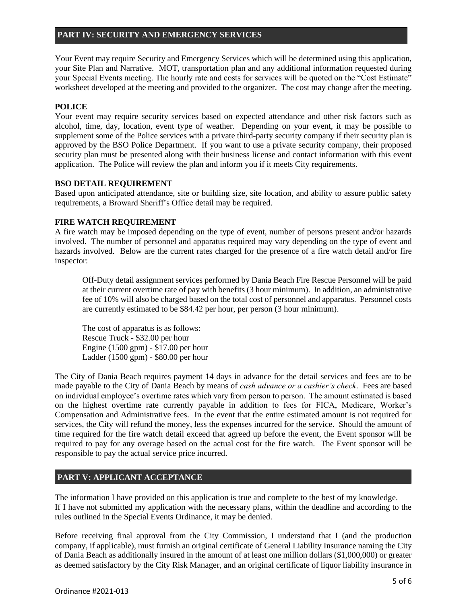#### **PART IV: SECURITY AND EMERGENCY SERVICES**

Your Event may require Security and Emergency Services which will be determined using this application, your Site Plan and Narrative. MOT, transportation plan and any additional information requested during your Special Events meeting. The hourly rate and costs for services will be quoted on the "Cost Estimate" worksheet developed at the meeting and provided to the organizer. The cost may change after the meeting.

# **POLICE**

Your event may require security services based on expected attendance and other risk factors such as alcohol, time, day, location, event type of weather. Depending on your event, it may be possible to supplement some of the Police services with a private third-party security company if their security plan is approved by the BSO Police Department. If you want to use a private security company, their proposed security plan must be presented along with their business license and contact information with this event application. The Police will review the plan and inform you if it meets City requirements.

#### **BSO DETAIL REQUIREMENT**

Based upon anticipated attendance, site or building size, site location, and ability to assure public safety requirements, a Broward Sheriff's Office detail may be required.

#### **FIRE WATCH REQUIREMENT**

A fire watch may be imposed depending on the type of event, number of persons present and/or hazards involved. The number of personnel and apparatus required may vary depending on the type of event and hazards involved. Below are the current rates charged for the presence of a fire watch detail and/or fire inspector:

Off-Duty detail assignment services performed by Dania Beach Fire Rescue Personnel will be paid at their current overtime rate of pay with benefits (3 hour minimum). In addition, an administrative fee of 10% will also be charged based on the total cost of personnel and apparatus. Personnel costs are currently estimated to be \$84.42 per hour, per person (3 hour minimum).

The cost of apparatus is as follows: Rescue Truck - \$32.00 per hour Engine (1500 gpm) - \$17.00 per hour Ladder (1500 gpm) - \$80.00 per hour

The City of Dania Beach requires payment 14 days in advance for the detail services and fees are to be made payable to the City of Dania Beach by means of *cash advance or a cashier's check*. Fees are based on individual employee's overtime rates which vary from person to person. The amount estimated is based on the highest overtime rate currently payable in addition to fees for FICA, Medicare, Worker's Compensation and Administrative fees. In the event that the entire estimated amount is not required for services, the City will refund the money, less the expenses incurred for the service. Should the amount of time required for the fire watch detail exceed that agreed up before the event, the Event sponsor will be required to pay for any overage based on the actual cost for the fire watch. The Event sponsor will be responsible to pay the actual service price incurred.

# **PART V: APPLICANT ACCEPTANCE**

The information I have provided on this application is true and complete to the best of my knowledge. If I have not submitted my application with the necessary plans, within the deadline and according to the rules outlined in the Special Events Ordinance, it may be denied.

Before receiving final approval from the City Commission, I understand that I (and the production company, if applicable), must furnish an original certificate of General Liability Insurance naming the City of Dania Beach as additionally insured in the amount of at least one million dollars (\$1,000,000) or greater as deemed satisfactory by the City Risk Manager, and an original certificate of liquor liability insurance in